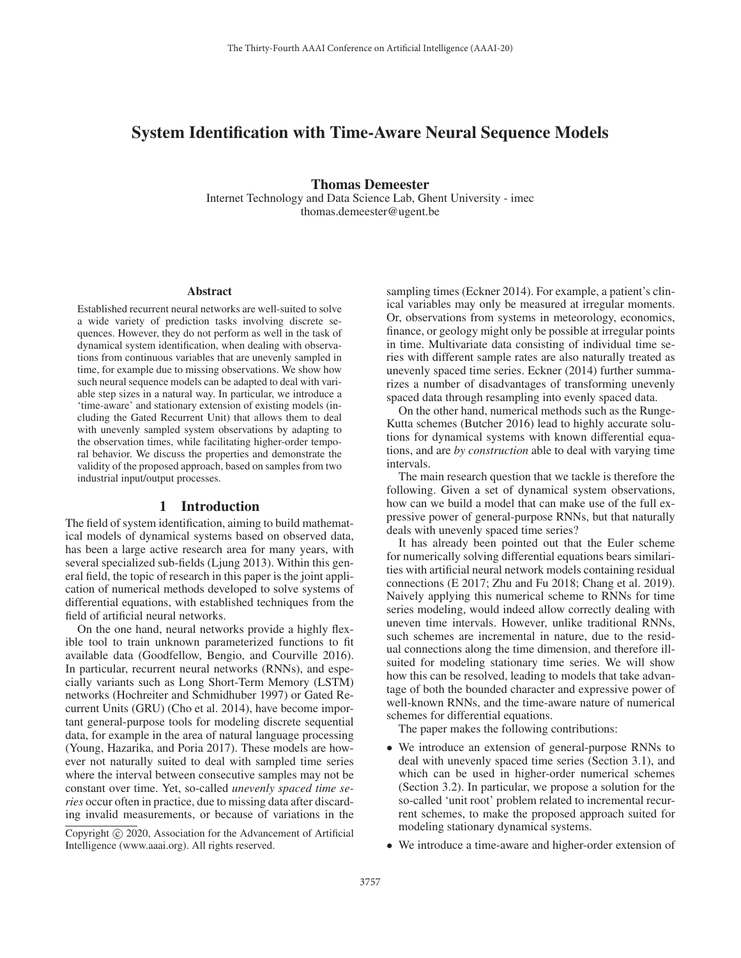# System Identification with Time-Aware Neural Sequence Models

Thomas Demeester

Internet Technology and Data Science Lab, Ghent University - imec thomas.demeester@ugent.be

#### Abstract

Established recurrent neural networks are well-suited to solve a wide variety of prediction tasks involving discrete sequences. However, they do not perform as well in the task of dynamical system identification, when dealing with observations from continuous variables that are unevenly sampled in time, for example due to missing observations. We show how such neural sequence models can be adapted to deal with variable step sizes in a natural way. In particular, we introduce a 'time-aware' and stationary extension of existing models (including the Gated Recurrent Unit) that allows them to deal with unevenly sampled system observations by adapting to the observation times, while facilitating higher-order temporal behavior. We discuss the properties and demonstrate the validity of the proposed approach, based on samples from two industrial input/output processes.

### 1 Introduction

The field of system identification, aiming to build mathematical models of dynamical systems based on observed data, has been a large active research area for many years, with several specialized sub-fields (Ljung 2013). Within this general field, the topic of research in this paper is the joint application of numerical methods developed to solve systems of differential equations, with established techniques from the field of artificial neural networks.

On the one hand, neural networks provide a highly flexible tool to train unknown parameterized functions to fit available data (Goodfellow, Bengio, and Courville 2016). In particular, recurrent neural networks (RNNs), and especially variants such as Long Short-Term Memory (LSTM) networks (Hochreiter and Schmidhuber 1997) or Gated Recurrent Units (GRU) (Cho et al. 2014), have become important general-purpose tools for modeling discrete sequential data, for example in the area of natural language processing (Young, Hazarika, and Poria 2017). These models are however not naturally suited to deal with sampled time series where the interval between consecutive samples may not be constant over time. Yet, so-called *unevenly spaced time series* occur often in practice, due to missing data after discarding invalid measurements, or because of variations in the

sampling times (Eckner 2014). For example, a patient's clinical variables may only be measured at irregular moments. Or, observations from systems in meteorology, economics, finance, or geology might only be possible at irregular points in time. Multivariate data consisting of individual time series with different sample rates are also naturally treated as unevenly spaced time series. Eckner (2014) further summarizes a number of disadvantages of transforming unevenly spaced data through resampling into evenly spaced data.

On the other hand, numerical methods such as the Runge-Kutta schemes (Butcher 2016) lead to highly accurate solutions for dynamical systems with known differential equations, and are *by construction* able to deal with varying time intervals.

The main research question that we tackle is therefore the following. Given a set of dynamical system observations, how can we build a model that can make use of the full expressive power of general-purpose RNNs, but that naturally deals with unevenly spaced time series?

It has already been pointed out that the Euler scheme for numerically solving differential equations bears similarities with artificial neural network models containing residual connections (E 2017; Zhu and Fu 2018; Chang et al. 2019). Naively applying this numerical scheme to RNNs for time series modeling, would indeed allow correctly dealing with uneven time intervals. However, unlike traditional RNNs, such schemes are incremental in nature, due to the residual connections along the time dimension, and therefore illsuited for modeling stationary time series. We will show how this can be resolved, leading to models that take advantage of both the bounded character and expressive power of well-known RNNs, and the time-aware nature of numerical schemes for differential equations.

The paper makes the following contributions:

- We introduce an extension of general-purpose RNNs to deal with unevenly spaced time series (Section 3.1), and which can be used in higher-order numerical schemes (Section 3.2). In particular, we propose a solution for the so-called 'unit root' problem related to incremental recurrent schemes, to make the proposed approach suited for modeling stationary dynamical systems.
- We introduce a time-aware and higher-order extension of

Copyright  $\odot$  2020, Association for the Advancement of Artificial Intelligence (www.aaai.org). All rights reserved.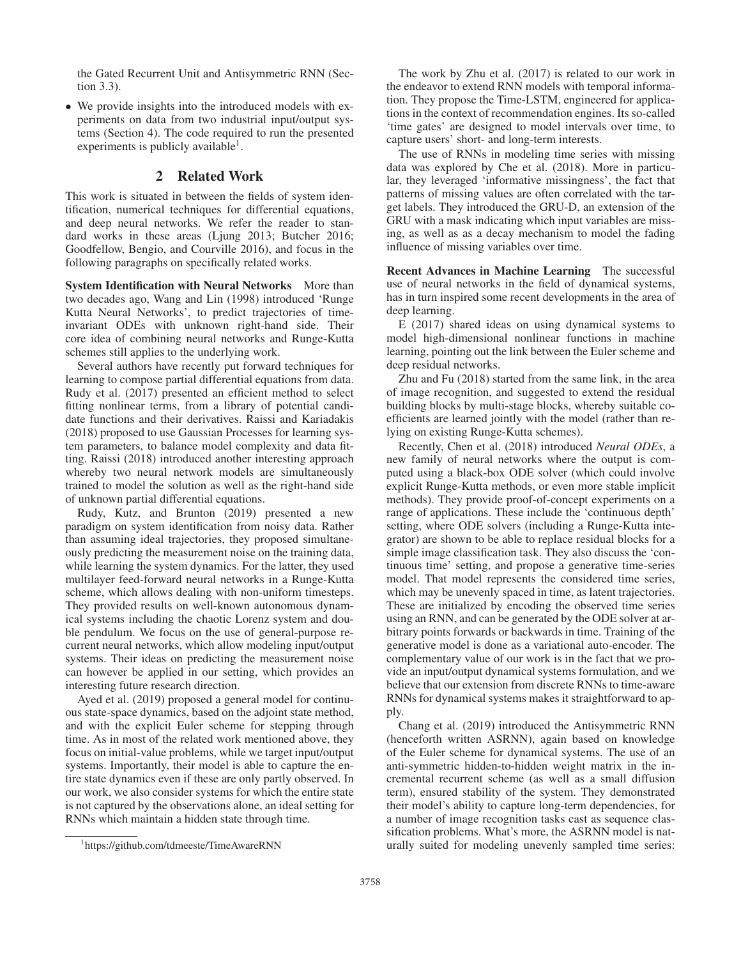the Gated Recurrent Unit and Antisymmetric RNN (Section 3.3).

• We provide insights into the introduced models with experiments on data from two industrial input/output systems (Section 4). The code required to run the presented experiments is publicly available<sup>1</sup>.

# 2 Related Work

This work is situated in between the fields of system identification, numerical techniques for differential equations, and deep neural networks. We refer the reader to standard works in these areas (Ljung 2013; Butcher 2016; Goodfellow, Bengio, and Courville 2016), and focus in the following paragraphs on specifically related works.

System Identification with Neural Networks More than two decades ago, Wang and Lin (1998) introduced 'Runge Kutta Neural Networks', to predict trajectories of timeinvariant ODEs with unknown right-hand side. Their core idea of combining neural networks and Runge-Kutta schemes still applies to the underlying work.

Several authors have recently put forward techniques for learning to compose partial differential equations from data. Rudy et al. (2017) presented an efficient method to select fitting nonlinear terms, from a library of potential candidate functions and their derivatives. Raissi and Kariadakis (2018) proposed to use Gaussian Processes for learning system parameters, to balance model complexity and data fitting. Raissi (2018) introduced another interesting approach whereby two neural network models are simultaneously trained to model the solution as well as the right-hand side of unknown partial differential equations.

Rudy, Kutz, and Brunton (2019) presented a new paradigm on system identification from noisy data. Rather than assuming ideal trajectories, they proposed simultaneously predicting the measurement noise on the training data, while learning the system dynamics. For the latter, they used multilayer feed-forward neural networks in a Runge-Kutta scheme, which allows dealing with non-uniform timesteps. They provided results on well-known autonomous dynamical systems including the chaotic Lorenz system and double pendulum. We focus on the use of general-purpose recurrent neural networks, which allow modeling input/output systems. Their ideas on predicting the measurement noise can however be applied in our setting, which provides an interesting future research direction.

Ayed et al. (2019) proposed a general model for continuous state-space dynamics, based on the adjoint state method, and with the explicit Euler scheme for stepping through time. As in most of the related work mentioned above, they focus on initial-value problems, while we target input/output systems. Importantly, their model is able to capture the entire state dynamics even if these are only partly observed. In our work, we also consider systems for which the entire state is not captured by the observations alone, an ideal setting for RNNs which maintain a hidden state through time.

1 https://github.com/tdmeeste/TimeAwareRNN

The work by Zhu et al. (2017) is related to our work in the endeavor to extend RNN models with temporal information. They propose the Time-LSTM, engineered for applications in the context of recommendation engines. Its so-called 'time gates' are designed to model intervals over time, to capture users' short- and long-term interests.

The use of RNNs in modeling time series with missing data was explored by Che et al. (2018). More in particular, they leveraged 'informative missingness', the fact that patterns of missing values are often correlated with the target labels. They introduced the GRU-D, an extension of the GRU with a mask indicating which input variables are missing, as well as as a decay mechanism to model the fading influence of missing variables over time.

Recent Advances in Machine Learning The successful use of neural networks in the field of dynamical systems, has in turn inspired some recent developments in the area of deep learning.

E (2017) shared ideas on using dynamical systems to model high-dimensional nonlinear functions in machine learning, pointing out the link between the Euler scheme and deep residual networks.

Zhu and Fu (2018) started from the same link, in the area of image recognition, and suggested to extend the residual building blocks by multi-stage blocks, whereby suitable coefficients are learned jointly with the model (rather than relying on existing Runge-Kutta schemes).

Recently, Chen et al. (2018) introduced *Neural ODEs*, a new family of neural networks where the output is computed using a black-box ODE solver (which could involve explicit Runge-Kutta methods, or even more stable implicit methods). They provide proof-of-concept experiments on a range of applications. These include the 'continuous depth' setting, where ODE solvers (including a Runge-Kutta integrator) are shown to be able to replace residual blocks for a simple image classification task. They also discuss the 'continuous time' setting, and propose a generative time-series model. That model represents the considered time series, which may be unevenly spaced in time, as latent trajectories. These are initialized by encoding the observed time series using an RNN, and can be generated by the ODE solver at arbitrary points forwards or backwards in time. Training of the generative model is done as a variational auto-encoder. The complementary value of our work is in the fact that we provide an input/output dynamical systems formulation, and we believe that our extension from discrete RNNs to time-aware RNNs for dynamical systems makes it straightforward to apply.

Chang et al. (2019) introduced the Antisymmetric RNN (henceforth written ASRNN), again based on knowledge of the Euler scheme for dynamical systems. The use of an anti-symmetric hidden-to-hidden weight matrix in the incremental recurrent scheme (as well as a small diffusion term), ensured stability of the system. They demonstrated their model's ability to capture long-term dependencies, for a number of image recognition tasks cast as sequence classification problems. What's more, the ASRNN model is naturally suited for modeling unevenly sampled time series: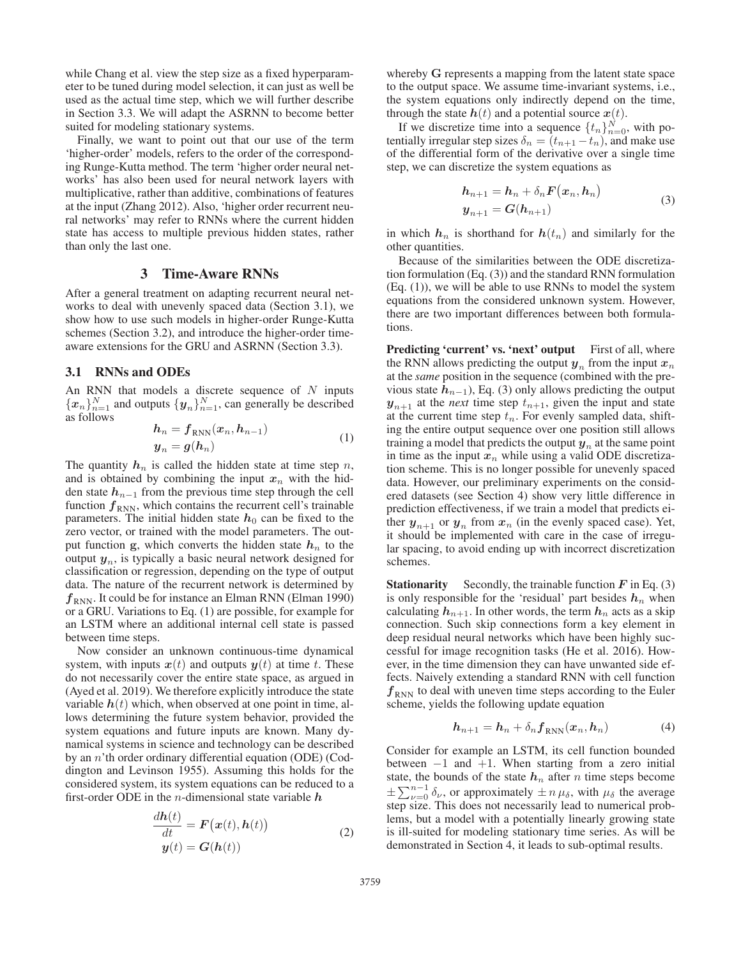while Chang et al. view the step size as a fixed hyperparameter to be tuned during model selection, it can just as well be used as the actual time step, which we will further describe in Section 3.3. We will adapt the ASRNN to become better suited for modeling stationary systems.

Finally, we want to point out that our use of the term 'higher-order' models, refers to the order of the corresponding Runge-Kutta method. The term 'higher order neural networks' has also been used for neural network layers with multiplicative, rather than additive, combinations of features at the input (Zhang 2012). Also, 'higher order recurrent neural networks' may refer to RNNs where the current hidden state has access to multiple previous hidden states, rather than only the last one.

# 3 Time-Aware RNNs

After a general treatment on adapting recurrent neural networks to deal with unevenly spaced data (Section 3.1), we show how to use such models in higher-order Runge-Kutta schemes (Section 3.2), and introduce the higher-order timeaware extensions for the GRU and ASRNN (Section 3.3).

### 3.1 RNNs and ODEs

An RNN that models a discrete sequence of  $N$  inputs  ${x_n}_{n=1}^N$  and outputs  ${y_n}_{n=1}^N$ , can generally be described as follows as follows

$$
h_n = f_{RNN}(x_n, h_{n-1})
$$
  
\n
$$
y_n = g(h_n)
$$
 (1)

The quantity  $h_n$  is called the hidden state at time step  $n$ , and is obtained by combining the input  $x_n$  with the hidden state  $h_{n-1}$  from the previous time step through the cell function  $f_{RNN}$ , which contains the recurrent cell's trainable parameters. The initial hidden state  $h_0$  can be fixed to the zero vector, or trained with the model parameters. The output function **g**, which converts the hidden state  $h_n$  to the output  $y_n$ , is typically a basic neural network designed for classification or regression, depending on the type of output data. The nature of the recurrent network is determined by  $f_{RNN}$ . It could be for instance an Elman RNN (Elman 1990) or a GRU. Variations to Eq. (1) are possible, for example for an LSTM where an additional internal cell state is passed between time steps.

Now consider an unknown continuous-time dynamical system, with inputs  $x(t)$  and outputs  $y(t)$  at time t. These do not necessarily cover the entire state space, as argued in (Ayed et al. 2019). We therefore explicitly introduce the state variable  $h(t)$  which, when observed at one point in time, allows determining the future system behavior, provided the system equations and future inputs are known. Many dynamical systems in science and technology can be described by an n'th order ordinary differential equation (ODE) (Coddington and Levinson 1955). Assuming this holds for the considered system, its system equations can be reduced to a first-order ODE in the <sup>n</sup>-dimensional state variable *h*

$$
\frac{d\mathbf{h}(t)}{dt} = \mathbf{F}\big(\mathbf{x}(t), \mathbf{h}(t)\big) \n\mathbf{y}(t) = \mathbf{G}(\mathbf{h}(t))
$$
\n(2)

whereby **G** represents a mapping from the latent state space to the output space. We assume time-invariant systems, i.e., the system equations only indirectly depend on the time, through the state  $h(t)$  and a potential source  $x(t)$ .<br>If we discretize time into a sequence  $\{t_n\}_{n=0}^N$ , with po-

tentially irregular step sizes  $\delta_n = (t_{n+1} - t_n)$ , and make use of the differential form of the derivative over a single time step, we can discretize the system equations as

$$
h_{n+1} = h_n + \delta_n F(x_n, h_n)
$$
  
\n
$$
y_{n+1} = G(h_{n+1})
$$
\n(3)

in which  $h_n$  is shorthand for  $h(t_n)$  and similarly for the other quantities.

Because of the similarities between the ODE discretization formulation (Eq. (3)) and the standard RNN formulation (Eq. (1)), we will be able to use RNNs to model the system equations from the considered unknown system. However, there are two important differences between both formulations.

**Predicting 'current' vs. 'next' output** First of all, where the RNN allows predicting the output  $y_n$  from the input  $x_n$ at the *same* position in the sequence (combined with the previous state  $h_{n-1}$ ), Eq. (3) only allows predicting the output  $y_{n+1}$  at the *next* time step  $t_{n+1}$ , given the input and state at the current time step  $t_n$ . For evenly sampled data, shifting the entire output sequence over one position still allows training a model that predicts the output  $y_n$  at the same point in time as the input  $x_n$  while using a valid ODE discretization scheme. This is no longer possible for unevenly spaced data. However, our preliminary experiments on the considered datasets (see Section 4) show very little difference in prediction effectiveness, if we train a model that predicts either  $y_{n+1}$  or  $y_n$  from  $x_n$  (in the evenly spaced case). Yet, it should be implemented with care in the case of irregular spacing, to avoid ending up with incorrect discretization schemes.

**Stationarity** Secondly, the trainable function *F* in Eq. (3) is only responsible for the 'residual' part besides *h*<sub>n</sub> when is only responsible for the 'residual' part besides  $h_n$  when calculating  $h_{n+1}$ . In other words the term  $h_n$  acts as a skin calculating  $h_{n+1}$ . In other words, the term  $h_n$  acts as a skip connection. Such skip connections form a key element in deep residual neural networks which have been highly successful for image recognition tasks (He et al. 2016). However, in the time dimension they can have unwanted side effects. Naively extending a standard RNN with cell function  $f_{RNN}$  to deal with uneven time steps according to the Euler scheme, yields the following update equation

$$
h_{n+1} = h_n + \delta_n f_{RNN}(x_n, h_n)
$$
 (4)

Consider for example an LSTM, its cell function bounded between  $-1$  and  $+1$ . When starting from a zero initial state, the bounds of the state  $h_n$  after n time steps become  $\pm \sum_{\nu=0}^{n-1} \delta_{\nu}$ , or approximately  $\pm n \mu_{\delta}$ , with  $\mu_{\delta}$  the average step size. This does not necessarily lead to numerical problems, but a model with a potentially linearly growing state is ill-suited for modeling stationary time series. As will be demonstrated in Section 4, it leads to sub-optimal results.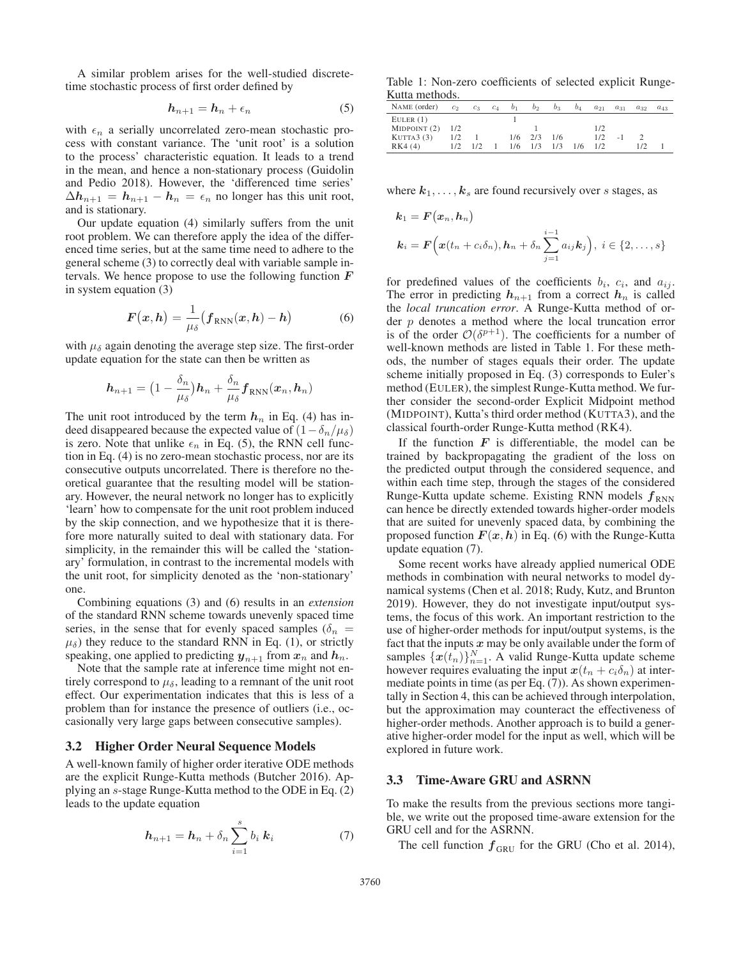A similar problem arises for the well-studied discretetime stochastic process of first order defined by

$$
h_{n+1} = h_n + \epsilon_n \tag{5}
$$

with  $\epsilon_n$  a serially uncorrelated zero-mean stochastic process with constant variance. The 'unit root' is a solution to the process' characteristic equation. It leads to a trend in the mean, and hence a non-stationary process (Guidolin and Pedio 2018). However, the 'differenced time series'  $\Delta h_{n+1} = h_{n+1} - h_n = \epsilon_n$  no longer has this unit root, and is stationary.

Our update equation (4) similarly suffers from the unit root problem. We can therefore apply the idea of the differenced time series, but at the same time need to adhere to the general scheme (3) to correctly deal with variable sample intervals. We hence propose to use the following function *F* in system equation (3)

$$
F(x,h) = \frac{1}{\mu_{\delta}} (f_{RNN}(x,h) - h)
$$
 (6)

with  $\mu_{\delta}$  again denoting the average step size. The first-order update equation for the state can then be written as

$$
\boldsymbol{h}_{n+1} = \big(1-\frac{\delta_n}{\mu_\delta}\big)\boldsymbol{h}_n + \frac{\delta_n}{\mu_\delta} \boldsymbol{f}_{\mathrm{RNN}}(\boldsymbol{x}_n,\boldsymbol{h}_n)
$$

The unit root introduced by the term  $h_n$  in Eq. (4) has indeed disappeared because the expected value of  $(1 - \delta_n/\mu_\delta)$ is zero. Note that unlike  $\epsilon_n$  in Eq. (5), the RNN cell function in Eq. (4) is no zero-mean stochastic process, nor are its consecutive outputs uncorrelated. There is therefore no theoretical guarantee that the resulting model will be stationary. However, the neural network no longer has to explicitly 'learn' how to compensate for the unit root problem induced by the skip connection, and we hypothesize that it is therefore more naturally suited to deal with stationary data. For simplicity, in the remainder this will be called the 'stationary' formulation, in contrast to the incremental models with the unit root, for simplicity denoted as the 'non-stationary' one.

Combining equations (3) and (6) results in an *extension* of the standard RNN scheme towards unevenly spaced time series, in the sense that for evenly spaced samples ( $\delta_n$  =  $\mu_{\delta}$ ) they reduce to the standard RNN in Eq. (1), or strictly speaking, one applied to predicting  $y_{n+1}$  from  $x_n$  and  $h_n$ .

Note that the sample rate at inference time might not entirely correspond to  $\mu_{\delta}$ , leading to a remnant of the unit root effect. Our experimentation indicates that this is less of a problem than for instance the presence of outliers (i.e., occasionally very large gaps between consecutive samples).

#### 3.2 Higher Order Neural Sequence Models

A well-known family of higher order iterative ODE methods are the explicit Runge-Kutta methods (Butcher 2016). Applying an s-stage Runge-Kutta method to the ODE in Eq. (2) leads to the update equation

$$
\boldsymbol{h}_{n+1} = \boldsymbol{h}_n + \delta_n \sum_{i=1}^s b_i \boldsymbol{k}_i \tag{7}
$$

Table 1: Non-zero coefficients of selected explicit Runge-Kutta methods.

| NAME (order) | c <sub>2</sub> | $c_3$ | $c_4$ | b <sub>1</sub> | b <sub>2</sub> | $b_3$ | $b_4$ | $a_{21}$ | $a_{31}$ | $a_{32}$ | $a_{43}$ |
|--------------|----------------|-------|-------|----------------|----------------|-------|-------|----------|----------|----------|----------|
| EULER(1)     |                |       |       |                |                |       |       |          |          |          |          |
| MIDPOINT (2) | 1/2            |       |       |                |                |       |       | 1/2      |          |          |          |
| KUTTA3(3)    | 1/2            |       |       | 1/6            | 2/3            | 1/6   |       | 1/2      | - 1      |          |          |
| RK4(4)       | 1/2            | 1/2   |       | 1/6            | 1/3            | 1/3   | 1/6   | 1/2      |          | 1/2      |          |

where  $k_1, \ldots, k_s$  are found recursively over s stages, as

$$
k_1 = F(x_n, h_n)
$$
  
\n
$$
k_i = F\Big(x(t_n + c_i\delta_n), h_n + \delta_n \sum_{j=1}^{i-1} a_{ij}k_j\Big), i \in \{2, \ldots, s\}
$$

for predefined values of the coefficients  $b_i$ ,  $c_i$ , and  $a_{ij}$ . The error in predicting  $h_{n+1}$  from a correct  $h_n$  is called the *local truncation error*. A Runge-Kutta method of order  $p$  denotes a method where the local truncation error is of the order  $\mathcal{O}(\delta^{p+1})$ . The coefficients for a number of well-known methods are listed in Table 1. For these methods, the number of stages equals their order. The update scheme initially proposed in Eq. (3) corresponds to Euler's method (EULER), the simplest Runge-Kutta method. We further consider the second-order Explicit Midpoint method (MIDPOINT), Kutta's third order method (KUTTA3), and the classical fourth-order Runge-Kutta method (RK4).

If the function  $F$  is differentiable, the model can be trained by backpropagating the gradient of the loss on the predicted output through the considered sequence, and within each time step, through the stages of the considered Runge-Kutta update scheme. Existing RNN models  $f_{RNN}$ can hence be directly extended towards higher-order models that are suited for unevenly spaced data, by combining the proposed function  $F(x, h)$  in Eq. (6) with the Runge-Kutta update equation (7).

Some recent works have already applied numerical ODE methods in combination with neural networks to model dynamical systems (Chen et al. 2018; Rudy, Kutz, and Brunton 2019). However, they do not investigate input/output systems, the focus of this work. An important restriction to the use of higher-order methods for input/output systems, is the fact that the inputs  $x$  may be only available under the form of samples  $\{\boldsymbol{x}(t_n)\}_{n=1}^N$ . A valid Runge-Kutta update scheme<br>however requires evaluating the input  $\boldsymbol{x}(t_n + c_0 \delta_n)$  at interhowever requires evaluating the input  $x(t_n + c_i \delta_n)$  at intermediate points in time (as per Eq. (7)). As shown experimentally in Section 4, this can be achieved through interpolation, but the approximation may counteract the effectiveness of higher-order methods. Another approach is to build a generative higher-order model for the input as well, which will be explored in future work.

#### 3.3 Time-Aware GRU and ASRNN

To make the results from the previous sections more tangible, we write out the proposed time-aware extension for the GRU cell and for the ASRNN.

The cell function  $f_{\text{GRU}}$  for the GRU (Cho et al. 2014),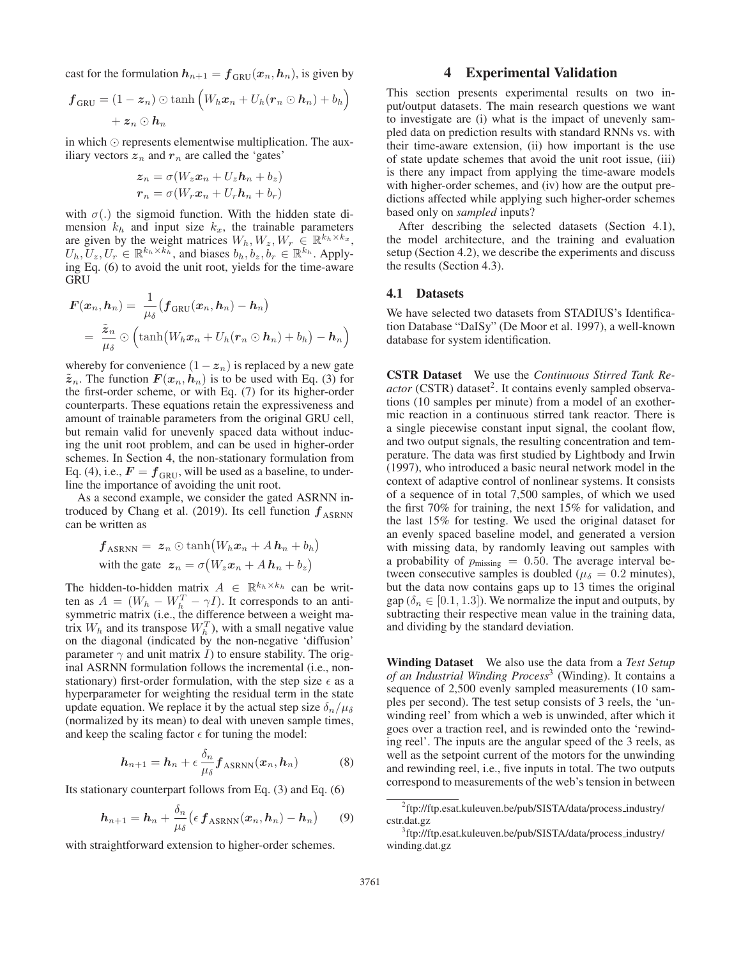cast for the formulation  $h_{n+1} = f_{GRU}(x_n, h_n)$ , is given by

$$
\boldsymbol{f}_{\text{GRU}} = (1 - \boldsymbol{z}_n) \odot \tanh \left( W_h \boldsymbol{x}_n + U_h (\boldsymbol{r}_n \odot \boldsymbol{h}_n) + b_h \right) + \boldsymbol{z}_n \odot \boldsymbol{h}_n
$$

in which  $\odot$  represents elementwise multiplication. The auxiliary vectors  $z_n$  and  $r_n$  are called the 'gates'

$$
z_n = \sigma(W_z x_n + U_z h_n + b_z)
$$
  

$$
r_n = \sigma(W_r x_n + U_r h_n + b_r)
$$

with  $\sigma(.)$  the sigmoid function. With the hidden state dimension  $k_h$  and input size  $k_x$ , the trainable parameters are given by the weight matrices  $W_h, W_z, W_r \in \mathbb{R}^{k_h \times k_x}$ ,  $U_h, U_z, U_r \in \mathbb{R}^{k_h \times k_h}$ , and biases  $b_h, b_z, b_r \in \mathbb{R}^{k_h}$ . Applying Eq. (6) to avoid the unit root, yields for the time-aware GRU

$$
F(\boldsymbol{x}_n, \boldsymbol{h}_n) = \frac{1}{\mu_{\delta}} (\boldsymbol{f}_{\text{GRU}}(\boldsymbol{x}_n, \boldsymbol{h}_n) - \boldsymbol{h}_n)
$$
  
= 
$$
\frac{\tilde{\boldsymbol{z}}_n}{\mu_{\delta}} \odot \left( \tanh \left( W_h \boldsymbol{x}_n + U_h (\boldsymbol{r}_n \odot \boldsymbol{h}_n) + b_h \right) - \boldsymbol{h}_n \right)
$$

whereby for convenience  $(1-z_n)$  is replaced by a new gate  $\tilde{z}_n$ . The function  $F(x_n, h_n)$  is to be used with Eq. (3) for the first-order scheme, or with Eq. (7) for its higher-order counterparts. These equations retain the expressiveness and amount of trainable parameters from the original GRU cell, but remain valid for unevenly spaced data without inducing the unit root problem, and can be used in higher-order schemes. In Section 4, the non-stationary formulation from Eq. (4), i.e.,  $F = f_{GRU}$ , will be used as a baseline, to underline the importance of avoiding the unit root.

As a second example, we consider the gated ASRNN introduced by Chang et al. (2019). Its cell function  $f_{\rm ASRNN}$ can be written as

$$
f_{\text{ASRNN}} = z_n \odot \tanh\big(W_h x_n + A h_n + b_h\big)
$$
  
with the gate  $z_n = \sigma\big(W_z x_n + A h_n + b_z\big)$ 

The hidden-to-hidden matrix  $A \in \mathbb{R}^{k_h \times k_h}$  can be written as  $A = (W_h - W_h^T - \gamma I)$ . It corresponds to an antisymmetric matrix (i.e., the difference between a weight matrix  $W_h$  and its transpose  $W_h^T$ ), with a small negative value on the diagonal (indicated by the non-negative 'diffusion' parameter  $\gamma$  and unit matrix I) to ensure stability. The original ASRNN formulation follows the incremental (i.e., nonstationary) first-order formulation, with the step size  $\epsilon$  as a hyperparameter for weighting the residual term in the state update equation. We replace it by the actual step size  $\delta_n/\mu_\delta$ (normalized by its mean) to deal with uneven sample times, and keep the scaling factor  $\epsilon$  for tuning the model:

$$
\boldsymbol{h}_{n+1} = \boldsymbol{h}_n + \epsilon \frac{\delta_n}{\mu_\delta} \boldsymbol{f}_{\text{ASRNN}}(\boldsymbol{x}_n, \boldsymbol{h}_n)
$$
(8)

Its stationary counterpart follows from Eq. (3) and Eq. (6)

$$
h_{n+1} = h_n + \frac{\delta_n}{\mu_\delta} \left( \epsilon \, \mathbf{f}_{\text{ASRNN}}(\boldsymbol{x}_n, \boldsymbol{h}_n) - \boldsymbol{h}_n \right) \tag{9}
$$

with straightforward extension to higher-order schemes.

# 4 Experimental Validation

This section presents experimental results on two input/output datasets. The main research questions we want to investigate are (i) what is the impact of unevenly sampled data on prediction results with standard RNNs vs. with their time-aware extension, (ii) how important is the use of state update schemes that avoid the unit root issue, (iii) is there any impact from applying the time-aware models with higher-order schemes, and (iv) how are the output predictions affected while applying such higher-order schemes based only on *sampled* inputs?

After describing the selected datasets (Section 4.1), the model architecture, and the training and evaluation setup (Section 4.2), we describe the experiments and discuss the results (Section 4.3).

#### 4.1 Datasets

We have selected two datasets from STADIUS's Identification Database "DaISy" (De Moor et al. 1997), a well-known database for system identification.

CSTR Dataset We use the *Continuous Stirred Tank Reactor* (CSTR) dataset<sup>2</sup>. It contains evenly sampled observations (10 samples per minute) from a model of an exothermic reaction in a continuous stirred tank reactor. There is a single piecewise constant input signal, the coolant flow, and two output signals, the resulting concentration and temperature. The data was first studied by Lightbody and Irwin (1997), who introduced a basic neural network model in the context of adaptive control of nonlinear systems. It consists of a sequence of in total 7,500 samples, of which we used the first 70% for training, the next 15% for validation, and the last 15% for testing. We used the original dataset for an evenly spaced baseline model, and generated a version with missing data, by randomly leaving out samples with a probability of  $p_{\text{missing}} = 0.50$ . The average interval between consecutive samples is doubled ( $\mu_{\delta} = 0.2$  minutes), but the data now contains gaps up to 13 times the original gap ( $\delta_n \in [0.1, 1.3]$ ). We normalize the input and outputs, by subtracting their respective mean value in the training data, and dividing by the standard deviation.

Winding Dataset We also use the data from a *Test Setup of an Industrial Winding Process*<sup>3</sup> (Winding). It contains a sequence of 2,500 evenly sampled measurements (10 samples per second). The test setup consists of 3 reels, the 'unwinding reel' from which a web is unwinded, after which it goes over a traction reel, and is rewinded onto the 'rewinding reel'. The inputs are the angular speed of the 3 reels, as well as the setpoint current of the motors for the unwinding and rewinding reel, i.e., five inputs in total. The two outputs correspond to measurements of the web's tension in between

<sup>&</sup>lt;sup>2</sup>ftp://ftp.esat.kuleuven.be/pub/SISTA/data/process\_industry/ cstr.dat.gz

<sup>&</sup>lt;sup>3</sup>ftp://ftp.esat.kuleuven.be/pub/SISTA/data/process\_industry/ winding.dat.gz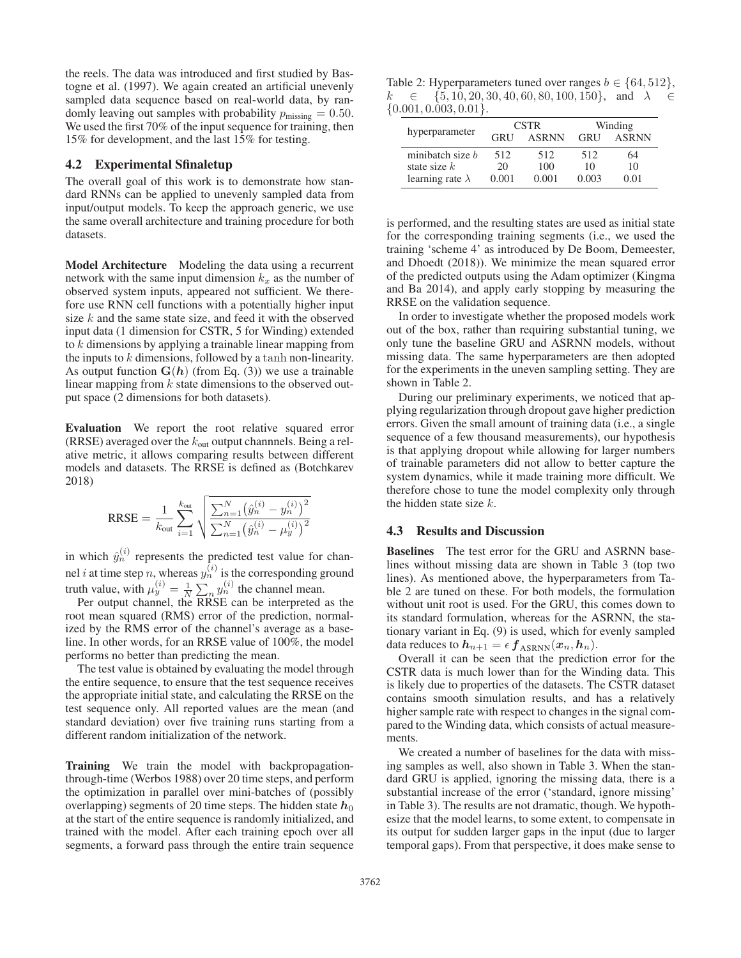the reels. The data was introduced and first studied by Bastogne et al. (1997). We again created an artificial unevenly sampled data sequence based on real-world data, by randomly leaving out samples with probability  $p_{\text{missing}} = 0.50$ . We used the first 70% of the input sequence for training, then 15% for development, and the last 15% for testing.

## 4.2 Experimental Sfinaletup

The overall goal of this work is to demonstrate how standard RNNs can be applied to unevenly sampled data from input/output models. To keep the approach generic, we use the same overall architecture and training procedure for both datasets.

Model Architecture Modeling the data using a recurrent network with the same input dimension  $k_x$  as the number of observed system inputs, appeared not sufficient. We therefore use RNN cell functions with a potentially higher input size  $k$  and the same state size, and feed it with the observed input data (1 dimension for CSTR, 5 for Winding) extended to k dimensions by applying a trainable linear mapping from the inputs to  $k$  dimensions, followed by a tanh non-linearity. As output function  $G(h)$  (from Eq. (3)) we use a trainable linear mapping from  $k$  state dimensions to the observed output space (2 dimensions for both datasets).

Evaluation We report the root relative squared error (RRSE) averaged over the  $k_{\text{out}}$  output channnels. Being a relative metric, it allows comparing results between different models and datasets. The RRSE is defined as (Botchkarev 2018)

$$
\text{RRSE} = \frac{1}{k_{\text{out}}} \sum_{i=1}^{k_{\text{out}}} \sqrt{\frac{\sum_{n=1}^{N} (\hat{y}_n^{(i)} - y_n^{(i)})^2}{\sum_{n=1}^{N} (\hat{y}_n^{(i)} - \mu_y^{(i)})^2}}
$$

in which  $\hat{y}_n^{(i)}$  represents the predicted test value for channel *i* at time step *n*, whereas  $y_n^{(i)}$  is the corresponding ground truth value, with  $\mu_y^{(i)} = \frac{1}{N} \sum_n y_n^{(i)}$  the channel mean.

Per output channel, the RRSE can be interpreted as the root mean squared (RMS) error of the prediction, normalized by the RMS error of the channel's average as a baseline. In other words, for an RRSE value of 100%, the model performs no better than predicting the mean.

The test value is obtained by evaluating the model through the entire sequence, to ensure that the test sequence receives the appropriate initial state, and calculating the RRSE on the test sequence only. All reported values are the mean (and standard deviation) over five training runs starting from a different random initialization of the network.

Training We train the model with backpropagationthrough-time (Werbos 1988) over 20 time steps, and perform the optimization in parallel over mini-batches of (possibly overlapping) segments of 20 time steps. The hidden state  $h_0$ at the start of the entire sequence is randomly initialized, and trained with the model. After each training epoch over all segments, a forward pass through the entire train sequence

Table 2: Hyperparameters tuned over ranges  $b \in \{64, 512\}$ ,  $k \in \{5, 10, 20, 30, 40, 60, 80, 100, 150\}, \text{ and } \lambda \in$  $\{0.001, 0.003, 0.01\}.$ 

|                         |            | <b>CSTR</b>  | Winding    |              |  |
|-------------------------|------------|--------------|------------|--------------|--|
| hyperparameter          | <b>GRU</b> | <b>ASRNN</b> | <b>GRU</b> | <b>ASRNN</b> |  |
| minibatch size $b$      | 512        | 512          | 512        | 64           |  |
| state size $k$          | 20         | 100          | 10         | 10           |  |
| learning rate $\lambda$ | 0.001      | 0.001        | 0.003      | 0.01         |  |

is performed, and the resulting states are used as initial state for the corresponding training segments (i.e., we used the training 'scheme 4' as introduced by De Boom, Demeester, and Dhoedt (2018)). We minimize the mean squared error of the predicted outputs using the Adam optimizer (Kingma and Ba 2014), and apply early stopping by measuring the RRSE on the validation sequence.

In order to investigate whether the proposed models work out of the box, rather than requiring substantial tuning, we only tune the baseline GRU and ASRNN models, without missing data. The same hyperparameters are then adopted for the experiments in the uneven sampling setting. They are shown in Table 2.

During our preliminary experiments, we noticed that applying regularization through dropout gave higher prediction errors. Given the small amount of training data (i.e., a single sequence of a few thousand measurements), our hypothesis is that applying dropout while allowing for larger numbers of trainable parameters did not allow to better capture the system dynamics, while it made training more difficult. We therefore chose to tune the model complexity only through the hidden state size  $k$ .

### 4.3 Results and Discussion

Baselines The test error for the GRU and ASRNN baselines without missing data are shown in Table 3 (top two lines). As mentioned above, the hyperparameters from Table 2 are tuned on these. For both models, the formulation without unit root is used. For the GRU, this comes down to its standard formulation, whereas for the ASRNN, the stationary variant in Eq. (9) is used, which for evenly sampled data reduces to  $h_{n+1} = \epsilon f_{\text{ASRNN}}(x_n, h_n)$ .

Overall it can be seen that the prediction error for the CSTR data is much lower than for the Winding data. This is likely due to properties of the datasets. The CSTR dataset contains smooth simulation results, and has a relatively higher sample rate with respect to changes in the signal compared to the Winding data, which consists of actual measurements.

We created a number of baselines for the data with missing samples as well, also shown in Table 3. When the standard GRU is applied, ignoring the missing data, there is a substantial increase of the error ('standard, ignore missing' in Table 3). The results are not dramatic, though. We hypothesize that the model learns, to some extent, to compensate in its output for sudden larger gaps in the input (due to larger temporal gaps). From that perspective, it does make sense to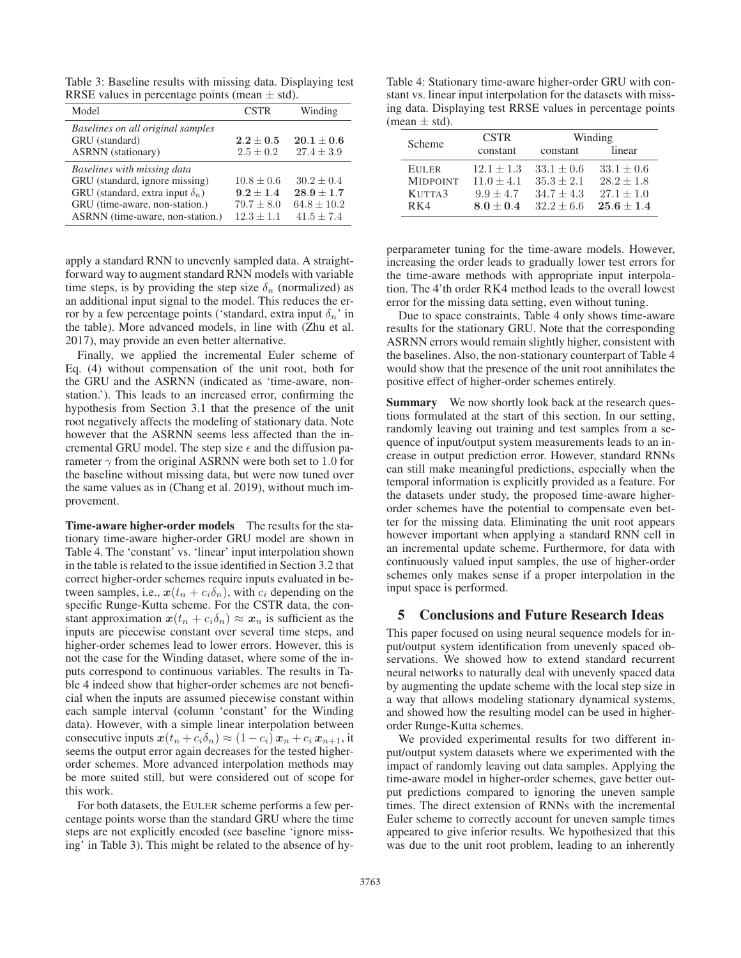Table 3: Baseline results with missing data. Displaying test RRSE values in percentage points (mean  $\pm$  std).

| Model                                                                                                                                                                          | <b>CSTR</b>                                                     | Winding                                                           |
|--------------------------------------------------------------------------------------------------------------------------------------------------------------------------------|-----------------------------------------------------------------|-------------------------------------------------------------------|
| Baselines on all original samples<br>GRU (standard)<br><b>ASRNN</b> (stationary)                                                                                               | $2.2 \pm 0.5$<br>$2.5 \pm 0.2$                                  | $20.1 + 0.6$<br>$27.4 \pm 3.9$                                    |
| Baselines with missing data<br>GRU (standard, ignore missing)<br>GRU (standard, extra input $\delta_n$ )<br>GRU (time-aware, non-station.)<br>ASRNN (time-aware, non-station.) | $10.8 \pm 0.6$<br>$9.2 + 1.4$<br>$79.7 \pm 8.0$<br>$12.3 + 1.1$ | $30.2 \pm 0.4$<br>$28.9 + 1.7$<br>$64.8 \pm 10.2$<br>$41.5 + 7.4$ |

apply a standard RNN to unevenly sampled data. A straightforward way to augment standard RNN models with variable time steps, is by providing the step size  $\delta_n$  (normalized) as an additional input signal to the model. This reduces the error by a few percentage points ('standard, extra input  $\delta_n$ ' in the table). More advanced models, in line with (Zhu et al. 2017), may provide an even better alternative.

Finally, we applied the incremental Euler scheme of Eq. (4) without compensation of the unit root, both for the GRU and the ASRNN (indicated as 'time-aware, nonstation.'). This leads to an increased error, confirming the hypothesis from Section 3.1 that the presence of the unit root negatively affects the modeling of stationary data. Note however that the ASRNN seems less affected than the incremental GRU model. The step size  $\epsilon$  and the diffusion parameter  $\gamma$  from the original ASRNN were both set to 1.0 for the baseline without missing data, but were now tuned over the same values as in (Chang et al. 2019), without much improvement.

Time-aware higher-order models The results for the stationary time-aware higher-order GRU model are shown in Table 4. The 'constant' vs. 'linear' input interpolation shown in the table is related to the issue identified in Section 3.2 that correct higher-order schemes require inputs evaluated in between samples, i.e.,  $x(t_n + c_i \delta_n)$ , with  $c_i$  depending on the specific Runge-Kutta scheme. For the CSTR data, the constant approximation  $x(t_n + c_i \delta_n) \approx x_n$  is sufficient as the inputs are piecewise constant over several time steps, and higher-order schemes lead to lower errors. However, this is not the case for the Winding dataset, where some of the inputs correspond to continuous variables. The results in Table 4 indeed show that higher-order schemes are not beneficial when the inputs are assumed piecewise constant within each sample interval (column 'constant' for the Winding data). However, with a simple linear interpolation between consecutive inputs  $x(t_n + c_i\delta_n) \approx (1 - c_i)x_n + c_i x_{n+1}$ , it seems the output error again decreases for the tested higherorder schemes. More advanced interpolation methods may be more suited still, but were considered out of scope for this work.

For both datasets, the EULER scheme performs a few percentage points worse than the standard GRU where the time steps are not explicitly encoded (see baseline 'ignore missing' in Table 3). This might be related to the absence of hy-

Table 4: Stationary time-aware higher-order GRU with constant vs. linear input interpolation for the datasets with missing data. Displaying test RRSE values in percentage points (mean  $\pm$  std).

| Scheme           | <b>CSTR</b>  | Winding      |                |  |  |
|------------------|--------------|--------------|----------------|--|--|
|                  | constant     | constant     | linear         |  |  |
| <b>EULER</b>     | $12.1 + 1.3$ | $33.1 + 0.6$ | $33.1 \pm 0.6$ |  |  |
| <b>MIDPOINT</b>  | $11.0 + 4.1$ | $35.3 + 2.1$ | $28.2 \pm 1.8$ |  |  |
| KUTTA3           | $9.9 + 4.7$  | $34.7 + 4.3$ | $27.1 + 1.0$   |  |  |
| R <sub>K</sub> 4 | $8.0 + 0.4$  | $32.2 + 6.6$ | $25.6 + 1.4$   |  |  |

perparameter tuning for the time-aware models. However, increasing the order leads to gradually lower test errors for the time-aware methods with appropriate input interpolation. The 4'th order RK4 method leads to the overall lowest error for the missing data setting, even without tuning.

Due to space constraints, Table 4 only shows time-aware results for the stationary GRU. Note that the corresponding ASRNN errors would remain slightly higher, consistent with the baselines. Also, the non-stationary counterpart of Table 4 would show that the presence of the unit root annihilates the positive effect of higher-order schemes entirely.

Summary We now shortly look back at the research questions formulated at the start of this section. In our setting, randomly leaving out training and test samples from a sequence of input/output system measurements leads to an increase in output prediction error. However, standard RNNs can still make meaningful predictions, especially when the temporal information is explicitly provided as a feature. For the datasets under study, the proposed time-aware higherorder schemes have the potential to compensate even better for the missing data. Eliminating the unit root appears however important when applying a standard RNN cell in an incremental update scheme. Furthermore, for data with continuously valued input samples, the use of higher-order schemes only makes sense if a proper interpolation in the input space is performed.

# 5 Conclusions and Future Research Ideas

This paper focused on using neural sequence models for input/output system identification from unevenly spaced observations. We showed how to extend standard recurrent neural networks to naturally deal with unevenly spaced data by augmenting the update scheme with the local step size in a way that allows modeling stationary dynamical systems, and showed how the resulting model can be used in higherorder Runge-Kutta schemes.

We provided experimental results for two different input/output system datasets where we experimented with the impact of randomly leaving out data samples. Applying the time-aware model in higher-order schemes, gave better output predictions compared to ignoring the uneven sample times. The direct extension of RNNs with the incremental Euler scheme to correctly account for uneven sample times appeared to give inferior results. We hypothesized that this was due to the unit root problem, leading to an inherently